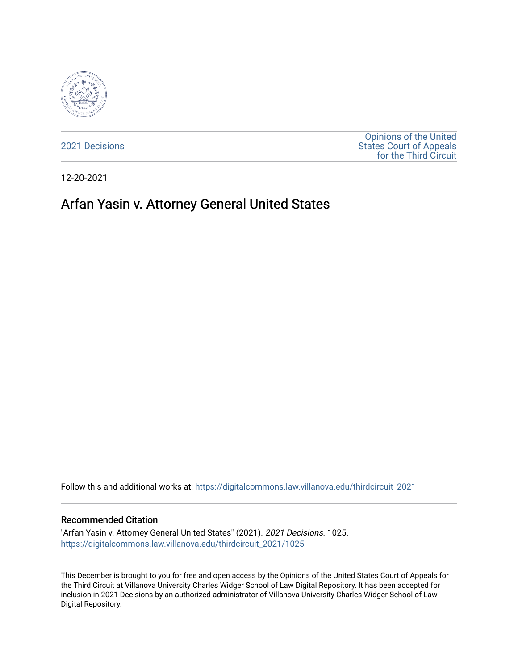

[2021 Decisions](https://digitalcommons.law.villanova.edu/thirdcircuit_2021)

[Opinions of the United](https://digitalcommons.law.villanova.edu/thirdcircuit)  [States Court of Appeals](https://digitalcommons.law.villanova.edu/thirdcircuit)  [for the Third Circuit](https://digitalcommons.law.villanova.edu/thirdcircuit) 

12-20-2021

# Arfan Yasin v. Attorney General United States

Follow this and additional works at: [https://digitalcommons.law.villanova.edu/thirdcircuit\\_2021](https://digitalcommons.law.villanova.edu/thirdcircuit_2021?utm_source=digitalcommons.law.villanova.edu%2Fthirdcircuit_2021%2F1025&utm_medium=PDF&utm_campaign=PDFCoverPages) 

#### Recommended Citation

"Arfan Yasin v. Attorney General United States" (2021). 2021 Decisions. 1025. [https://digitalcommons.law.villanova.edu/thirdcircuit\\_2021/1025](https://digitalcommons.law.villanova.edu/thirdcircuit_2021/1025?utm_source=digitalcommons.law.villanova.edu%2Fthirdcircuit_2021%2F1025&utm_medium=PDF&utm_campaign=PDFCoverPages) 

This December is brought to you for free and open access by the Opinions of the United States Court of Appeals for the Third Circuit at Villanova University Charles Widger School of Law Digital Repository. It has been accepted for inclusion in 2021 Decisions by an authorized administrator of Villanova University Charles Widger School of Law Digital Repository.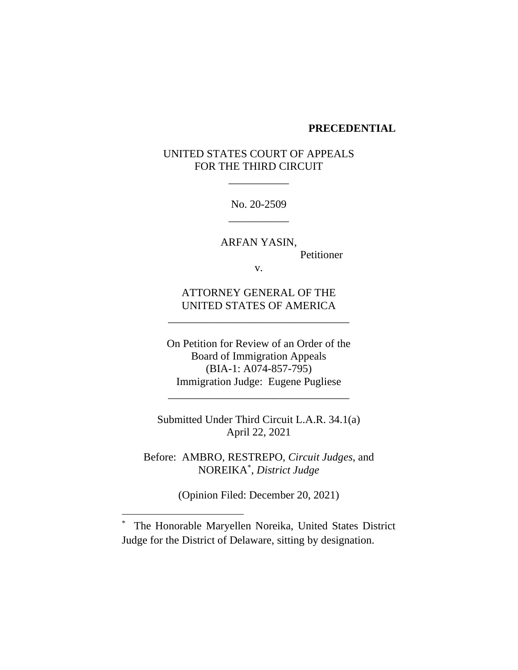#### **PRECEDENTIAL**

# UNITED STATES COURT OF APPEALS FOR THE THIRD CIRCUIT

\_\_\_\_\_\_\_\_\_\_\_

No. 20-2509 \_\_\_\_\_\_\_\_\_\_\_

ARFAN YASIN, Petitioner

v.

ATTORNEY GENERAL OF THE UNITED STATES OF AMERICA

\_\_\_\_\_\_\_\_\_\_\_\_\_\_\_\_\_\_\_\_\_\_\_\_\_\_\_\_\_\_\_\_\_

On Petition for Review of an Order of the Board of Immigration Appeals (BIA-1: A074-857-795) Immigration Judge: Eugene Pugliese

\_\_\_\_\_\_\_\_\_\_\_\_\_\_\_\_\_\_\_\_\_\_\_\_\_\_\_\_\_\_\_\_\_

Submitted Under Third Circuit L.A.R. 34.1(a) April 22, 2021

Before: AMBRO, RESTREPO, *Circuit Judges*, and NOREIKA\* , *District Judge*

(Opinion Filed: December 20, 2021)

\* The Honorable Maryellen Noreika, United States District Judge for the District of Delaware, sitting by designation.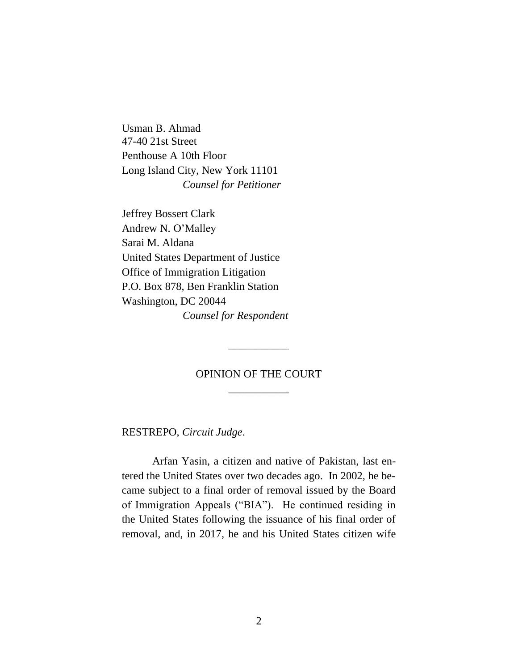Usman B. Ahmad 47-40 21st Street Penthouse A 10th Floor Long Island City, New York 11101 *Counsel for Petitioner*

Jeffrey Bossert Clark Andrew N. O'Malley Sarai M. Aldana United States Department of Justice Office of Immigration Litigation P.O. Box 878, Ben Franklin Station Washington, DC 20044 *Counsel for Respondent*

# OPINION OF THE COURT \_\_\_\_\_\_\_\_\_\_\_

\_\_\_\_\_\_\_\_\_\_\_

RESTREPO, *Circuit Judge*.

Arfan Yasin, a citizen and native of Pakistan, last entered the United States over two decades ago. In 2002, he became subject to a final order of removal issued by the Board of Immigration Appeals ("BIA"). He continued residing in the United States following the issuance of his final order of removal, and, in 2017, he and his United States citizen wife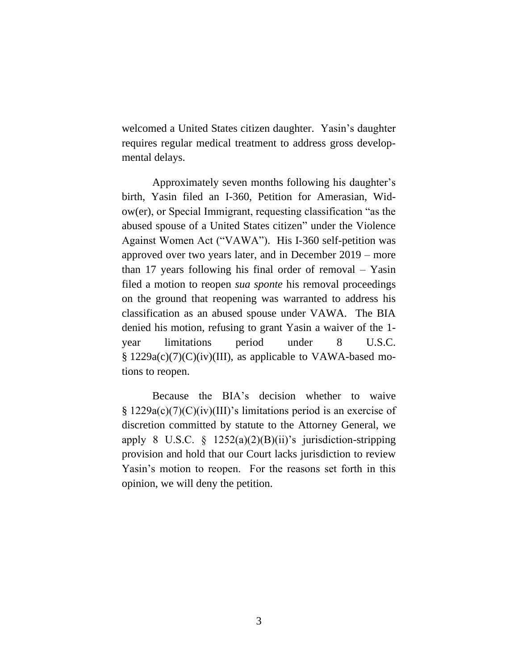welcomed a United States citizen daughter. Yasin's daughter requires regular medical treatment to address gross developmental delays.

Approximately seven months following his daughter's birth, Yasin filed an I-360, Petition for Amerasian, Widow(er), or Special Immigrant, requesting classification "as the abused spouse of a United States citizen" under the Violence Against Women Act ("VAWA"). His I-360 self-petition was approved over two years later, and in December 2019 – more than 17 years following his final order of removal – Yasin filed a motion to reopen *sua sponte* his removal proceedings on the ground that reopening was warranted to address his classification as an abused spouse under VAWA. The BIA denied his motion, refusing to grant Yasin a waiver of the 1 year limitations period under 8 U.S.C. § 1229a(c)(7)(C)(iv)(III), as applicable to VAWA-based motions to reopen.

Because the BIA's decision whether to waive § 1229a(c)(7)(C)(iv)(III)'s limitations period is an exercise of discretion committed by statute to the Attorney General, we apply 8 U.S.C.  $\S$  1252(a)(2)(B)(ii)'s jurisdiction-stripping provision and hold that our Court lacks jurisdiction to review Yasin's motion to reopen. For the reasons set forth in this opinion, we will deny the petition.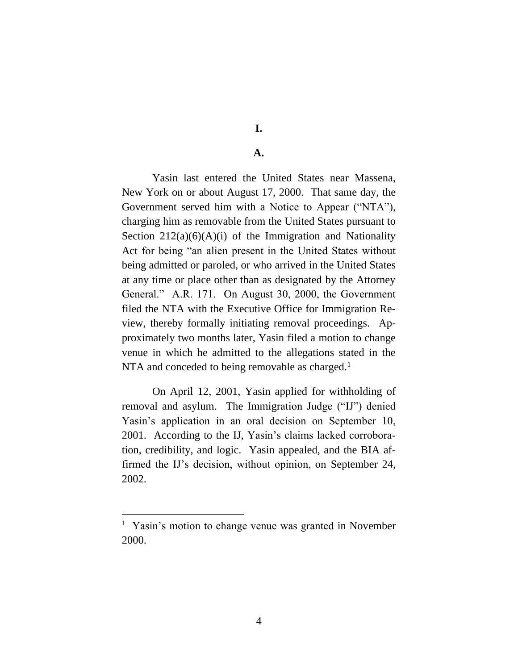**I.**

## **A.**

Yasin last entered the United States near Massena, New York on or about August 17, 2000. That same day, the Government served him with a Notice to Appear ("NTA"), charging him as removable from the United States pursuant to Section  $212(a)(6)(A)(i)$  of the Immigration and Nationality Act for being "an alien present in the United States without being admitted or paroled, or who arrived in the United States at any time or place other than as designated by the Attorney General." A.R. 171. On August 30, 2000, the Government filed the NTA with the Executive Office for Immigration Review, thereby formally initiating removal proceedings. Approximately two months later, Yasin filed a motion to change venue in which he admitted to the allegations stated in the NTA and conceded to being removable as charged. $<sup>1</sup>$ </sup>

On April 12, 2001, Yasin applied for withholding of removal and asylum. The Immigration Judge ("IJ") denied Yasin's application in an oral decision on September 10, 2001. According to the IJ, Yasin's claims lacked corroboration, credibility, and logic. Yasin appealed, and the BIA affirmed the IJ's decision, without opinion, on September 24, 2002.

<sup>&</sup>lt;sup>1</sup> Yasin's motion to change venue was granted in November 2000.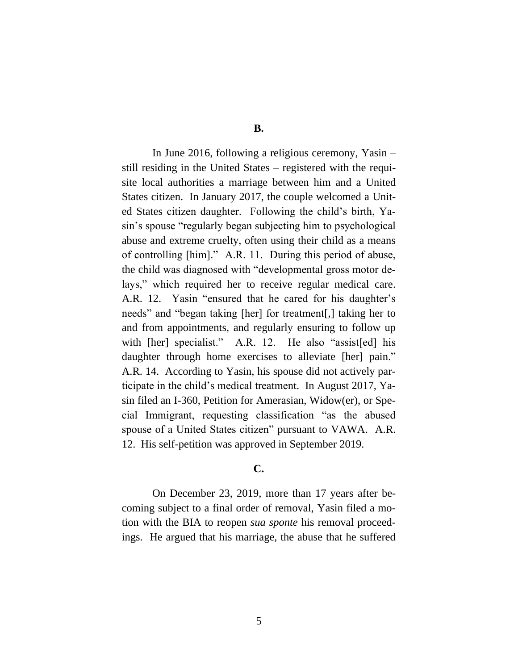In June 2016, following a religious ceremony, Yasin – still residing in the United States – registered with the requisite local authorities a marriage between him and a United States citizen. In January 2017, the couple welcomed a United States citizen daughter. Following the child's birth, Yasin's spouse "regularly began subjecting him to psychological abuse and extreme cruelty, often using their child as a means of controlling [him]." A.R. 11. During this period of abuse, the child was diagnosed with "developmental gross motor delays," which required her to receive regular medical care. A.R. 12. Yasin "ensured that he cared for his daughter's needs" and "began taking [her] for treatment[,] taking her to and from appointments, and regularly ensuring to follow up with [her] specialist." A.R. 12. He also "assist [ed] his daughter through home exercises to alleviate [her] pain." A.R. 14. According to Yasin, his spouse did not actively participate in the child's medical treatment. In August 2017, Yasin filed an I-360, Petition for Amerasian, Widow(er), or Special Immigrant, requesting classification "as the abused spouse of a United States citizen" pursuant to VAWA. A.R. 12. His self-petition was approved in September 2019.

## **C.**

On December 23, 2019, more than 17 years after becoming subject to a final order of removal, Yasin filed a motion with the BIA to reopen *sua sponte* his removal proceedings. He argued that his marriage, the abuse that he suffered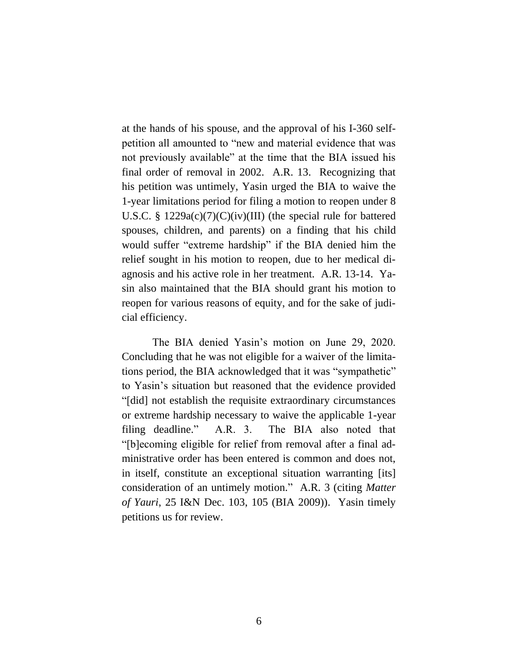at the hands of his spouse, and the approval of his I-360 selfpetition all amounted to "new and material evidence that was not previously available" at the time that the BIA issued his final order of removal in 2002. A.R. 13. Recognizing that his petition was untimely, Yasin urged the BIA to waive the 1-year limitations period for filing a motion to reopen under 8 U.S.C. § 1229a(c)(7)(C)(iv)(III) (the special rule for battered spouses, children, and parents) on a finding that his child would suffer "extreme hardship" if the BIA denied him the relief sought in his motion to reopen, due to her medical diagnosis and his active role in her treatment. A.R. 13-14. Yasin also maintained that the BIA should grant his motion to reopen for various reasons of equity, and for the sake of judicial efficiency.

The BIA denied Yasin's motion on June 29, 2020. Concluding that he was not eligible for a waiver of the limitations period, the BIA acknowledged that it was "sympathetic" to Yasin's situation but reasoned that the evidence provided "[did] not establish the requisite extraordinary circumstances or extreme hardship necessary to waive the applicable 1-year filing deadline." A.R. 3. The BIA also noted that "[b]ecoming eligible for relief from removal after a final administrative order has been entered is common and does not, in itself, constitute an exceptional situation warranting [its] consideration of an untimely motion." A.R. 3 (citing *Matter of Yauri*, 25 I&N Dec. 103, 105 (BIA 2009)). Yasin timely petitions us for review.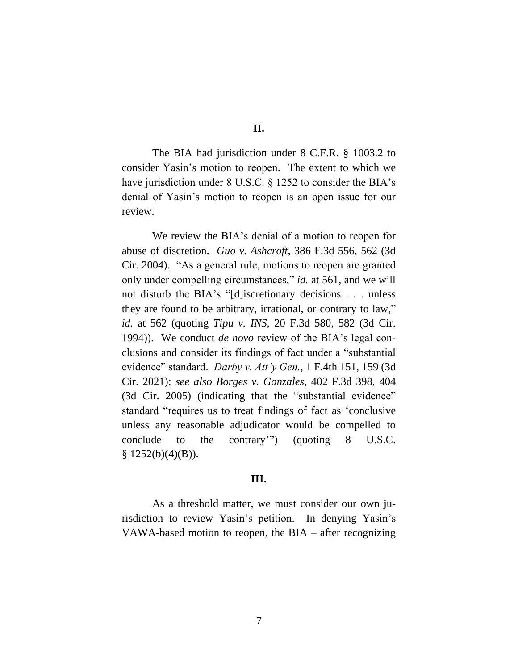The BIA had jurisdiction under 8 C.F.R. § 1003.2 to consider Yasin's motion to reopen. The extent to which we have jurisdiction under 8 U.S.C. § 1252 to consider the BIA's denial of Yasin's motion to reopen is an open issue for our review.

We review the BIA's denial of a motion to reopen for abuse of discretion. *Guo v. Ashcroft*, 386 F.3d 556, 562 (3d Cir. 2004). "As a general rule, motions to reopen are granted only under compelling circumstances," *id.* at 561, and we will not disturb the BIA's "[d]iscretionary decisions . . . unless they are found to be arbitrary, irrational, or contrary to law," *id.* at 562 (quoting *Tipu v. INS*, 20 F.3d 580, 582 (3d Cir. 1994)). We conduct *de novo* review of the BIA's legal conclusions and consider its findings of fact under a "substantial evidence" standard. *Darby v. Att'y Gen.*, 1 F.4th 151, 159 (3d Cir. 2021); *see also Borges v. Gonzales*, 402 F.3d 398, 404 (3d Cir. 2005) (indicating that the "substantial evidence" standard "requires us to treat findings of fact as 'conclusive unless any reasonable adjudicator would be compelled to conclude to the contrary'") (quoting 8 U.S.C.  $§ 1252(b)(4)(B)).$ 

## **III.**

As a threshold matter, we must consider our own jurisdiction to review Yasin's petition. In denying Yasin's VAWA-based motion to reopen, the BIA – after recognizing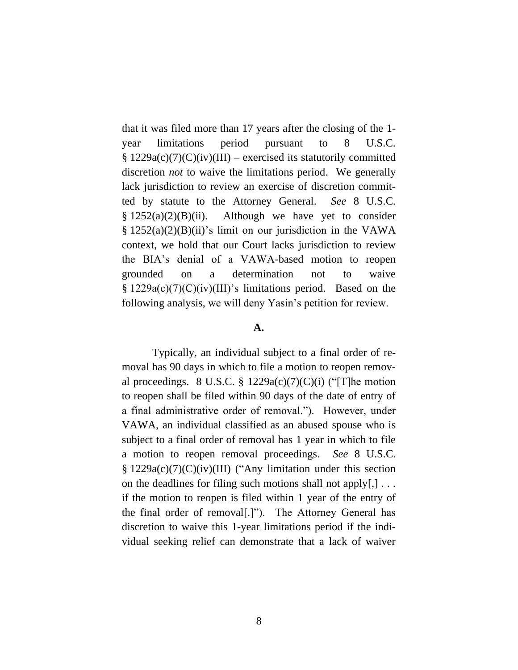that it was filed more than 17 years after the closing of the 1 year limitations period pursuant to 8 U.S.C.  $§ 1229a(c)(7)(C)(iv)(III)$  – exercised its statutorily committed discretion *not* to waive the limitations period. We generally lack jurisdiction to review an exercise of discretion committed by statute to the Attorney General. *See* 8 U.S.C.  $§ 1252(a)(2)(B)(ii)$ . Although we have yet to consider  $\S 1252(a)(2)(B)(ii)$ 's limit on our jurisdiction in the VAWA context, we hold that our Court lacks jurisdiction to review the BIA's denial of a VAWA-based motion to reopen grounded on a determination not to waive § 1229a(c)(7)(C)(iv)(III)'s limitations period. Based on the following analysis, we will deny Yasin's petition for review.

#### **A.**

Typically, an individual subject to a final order of removal has 90 days in which to file a motion to reopen removal proceedings. 8 U.S.C. § 1229a(c)(7)(C)(i) ("T]he motion to reopen shall be filed within 90 days of the date of entry of a final administrative order of removal."). However, under VAWA, an individual classified as an abused spouse who is subject to a final order of removal has 1 year in which to file a motion to reopen removal proceedings. *See* 8 U.S.C. § 1229a(c)(7)(C)(iv)(III) ("Any limitation under this section on the deadlines for filing such motions shall not apply[,] . . . if the motion to reopen is filed within 1 year of the entry of the final order of removal[.]"). The Attorney General has discretion to waive this 1-year limitations period if the individual seeking relief can demonstrate that a lack of waiver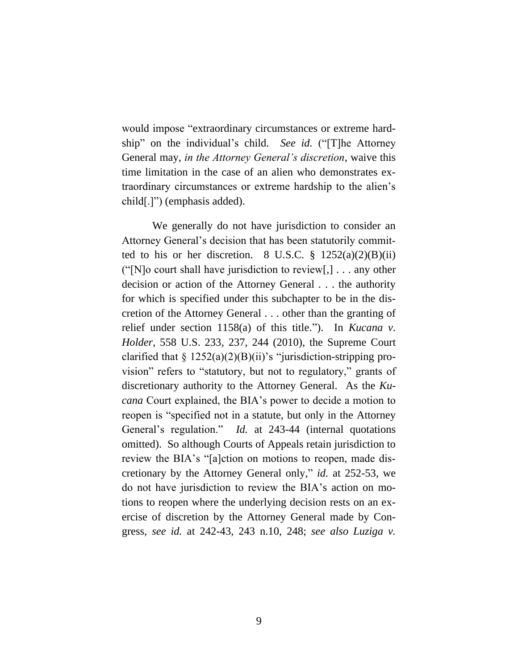would impose "extraordinary circumstances or extreme hardship" on the individual's child. *See id.* ("[T]he Attorney General may, *in the Attorney General's discretion*, waive this time limitation in the case of an alien who demonstrates extraordinary circumstances or extreme hardship to the alien's child[.]") (emphasis added).

We generally do not have jurisdiction to consider an Attorney General's decision that has been statutorily committed to his or her discretion. 8 U.S.C.  $\S$  1252(a)(2)(B)(ii) ("[N]o court shall have jurisdiction to review[,]  $\ldots$  any other decision or action of the Attorney General . . . the authority for which is specified under this subchapter to be in the discretion of the Attorney General . . . other than the granting of relief under section 1158(a) of this title."). In *Kucana v. Holder*, 558 U.S. 233, 237, 244 (2010), the Supreme Court clarified that  $\S 1252(a)(2)(B)(ii)$ 's "jurisdiction-stripping provision" refers to "statutory, but not to regulatory," grants of discretionary authority to the Attorney General. As the *Kucana* Court explained, the BIA's power to decide a motion to reopen is "specified not in a statute, but only in the Attorney General's regulation." *Id.* at 243-44 (internal quotations omitted). So although Courts of Appeals retain jurisdiction to review the BIA's "[a]ction on motions to reopen, made discretionary by the Attorney General only," *id.* at 252-53, we do not have jurisdiction to review the BIA's action on motions to reopen where the underlying decision rests on an exercise of discretion by the Attorney General made by Congress, *see id.* at 242-43, 243 n.10, 248; *see also Luziga v.*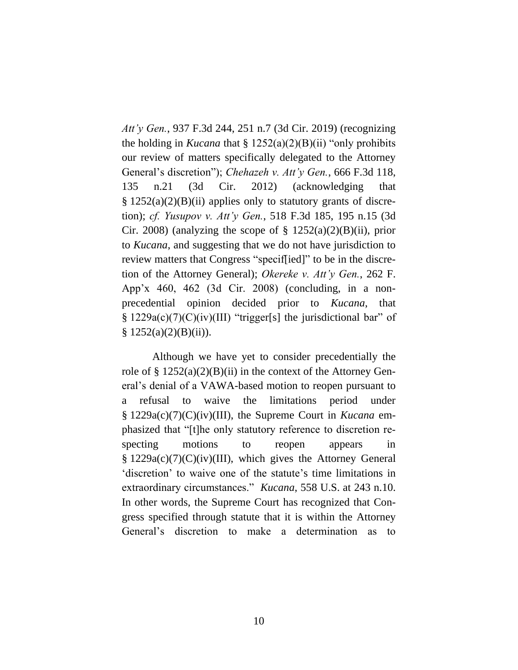*Att'y Gen.*, 937 F.3d 244, 251 n.7 (3d Cir. 2019) (recognizing the holding in *Kucana* that § 1252(a)(2)(B)(ii) "only prohibits our review of matters specifically delegated to the Attorney General's discretion"); *Chehazeh v. Att'y Gen.*, 666 F.3d 118, 135 n.21 (3d Cir. 2012) (acknowledging that  $\S 1252(a)(2)(B)(ii)$  applies only to statutory grants of discretion); *cf. Yusupov v. Att'y Gen.*, 518 F.3d 185, 195 n.15 (3d Cir. 2008) (analyzing the scope of  $\S$  1252(a)(2)(B)(ii), prior to *Kucana*, and suggesting that we do not have jurisdiction to review matters that Congress "specif[ied]" to be in the discretion of the Attorney General); *Okereke v. Att'y Gen.*, 262 F. App'x 460, 462 (3d Cir. 2008) (concluding, in a nonprecedential opinion decided prior to *Kucana*, that § 1229a(c)(7)(C)(iv)(III) "trigger[s] the jurisdictional bar" of  $§ 1252(a)(2)(B)(ii)).$ 

Although we have yet to consider precedentially the role of  $\S 1252(a)(2)(B)(ii)$  in the context of the Attorney General's denial of a VAWA-based motion to reopen pursuant to a refusal to waive the limitations period under § 1229a(c)(7)(C)(iv)(III), the Supreme Court in *Kucana* emphasized that "[t]he only statutory reference to discretion respecting motions to reopen appears in § 1229a(c)(7)(C)(iv)(III), which gives the Attorney General 'discretion' to waive one of the statute's time limitations in extraordinary circumstances." *Kucana*, 558 U.S. at 243 n.10. In other words, the Supreme Court has recognized that Congress specified through statute that it is within the Attorney General's discretion to make a determination as to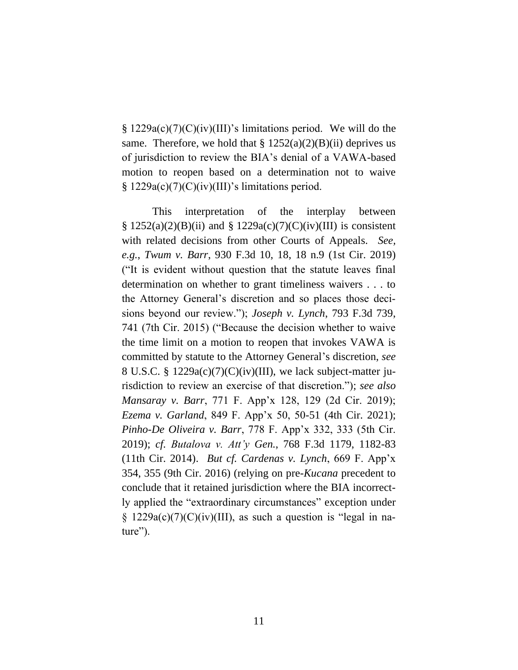$\S 1229a(c)(7)(C)(iv)(III)'$ s limitations period. We will do the same. Therefore, we hold that  $\S 1252(a)(2)(B)(ii)$  deprives us of jurisdiction to review the BIA's denial of a VAWA-based motion to reopen based on a determination not to waive  $\S 1229a(c)(7)(C)(iv)(III)'$ s limitations period.

This interpretation of the interplay between  $\S 1252(a)(2)(B)(ii)$  and  $\S 1229a(c)(7)(C)(iv)(III)$  is consistent with related decisions from other Courts of Appeals. *See, e.g.*, *Twum v. Barr*, 930 F.3d 10, 18, 18 n.9 (1st Cir. 2019) ("It is evident without question that the statute leaves final determination on whether to grant timeliness waivers . . . to the Attorney General's discretion and so places those decisions beyond our review."); *Joseph v. Lynch*, 793 F.3d 739, 741 (7th Cir. 2015) ("Because the decision whether to waive the time limit on a motion to reopen that invokes VAWA is committed by statute to the Attorney General's discretion, *see* 8 U.S.C. § 1229a(c)(7)(C)(iv)(III), we lack subject-matter jurisdiction to review an exercise of that discretion."); *see also Mansaray v. Barr*, 771 F. App'x 128, 129 (2d Cir. 2019); *Ezema v. Garland*, 849 F. App'x 50, 50-51 (4th Cir. 2021); *Pinho-De Oliveira v. Barr*, 778 F. App'x 332, 333 (5th Cir. 2019); *cf. Butalova v. Att'y Gen.*, 768 F.3d 1179, 1182-83 (11th Cir. 2014). *But cf. Cardenas v. Lynch*, 669 F. App'x 354, 355 (9th Cir. 2016) (relying on pre-*Kucana* precedent to conclude that it retained jurisdiction where the BIA incorrectly applied the "extraordinary circumstances" exception under  $\S$  1229a(c)(7)(C)(iv)(III), as such a question is "legal in nature").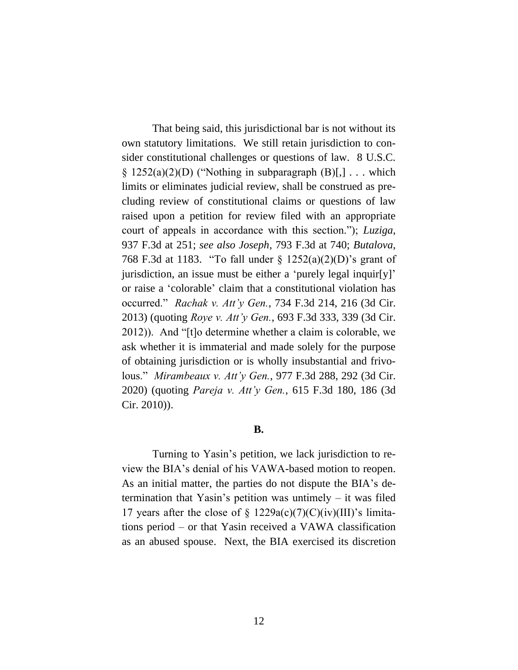That being said, this jurisdictional bar is not without its own statutory limitations. We still retain jurisdiction to consider constitutional challenges or questions of law. 8 U.S.C.  $\S$  1252(a)(2)(D) ("Nothing in subparagraph (B)[,] ... which limits or eliminates judicial review, shall be construed as precluding review of constitutional claims or questions of law raised upon a petition for review filed with an appropriate court of appeals in accordance with this section."); *Luziga*, 937 F.3d at 251; *see also Joseph*, 793 F.3d at 740; *Butalova*, 768 F.3d at 1183. "To fall under § 1252(a)(2)(D)'s grant of jurisdiction, an issue must be either a 'purely legal inquir[y]' or raise a 'colorable' claim that a constitutional violation has occurred." *Rachak v. Att'y Gen.*, 734 F.3d 214, 216 (3d Cir. 2013) (quoting *Roye v. Att'y Gen.*, 693 F.3d 333, 339 (3d Cir. 2012)). And "[t]o determine whether a claim is colorable, we ask whether it is immaterial and made solely for the purpose of obtaining jurisdiction or is wholly insubstantial and frivolous." *Mirambeaux v. Att'y Gen.*, 977 F.3d 288, 292 (3d Cir. 2020) (quoting *Pareja v. Att'y Gen.*, 615 F.3d 180, 186 (3d Cir. 2010)).

## **B.**

Turning to Yasin's petition, we lack jurisdiction to review the BIA's denial of his VAWA-based motion to reopen. As an initial matter, the parties do not dispute the BIA's determination that Yasin's petition was untimely – it was filed 17 years after the close of  $\S$  1229a(c)(7)(C)(iv)(III)'s limitations period – or that Yasin received a VAWA classification as an abused spouse. Next, the BIA exercised its discretion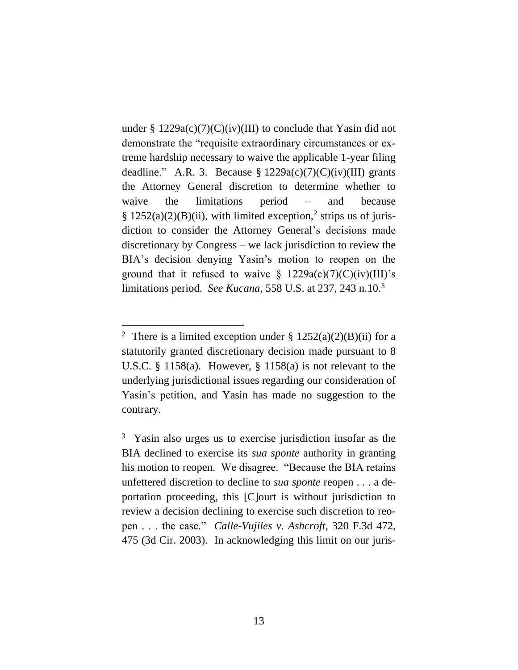under  $\S 1229a(c)(7)(C)(iv)(III)$  to conclude that Yasin did not demonstrate the "requisite extraordinary circumstances or extreme hardship necessary to waive the applicable 1-year filing deadline." A.R. 3. Because  $\S 1229a(c)(7)(C)(iv)(III)$  grants the Attorney General discretion to determine whether to waive the limitations period – and because  $§ 1252(a)(2)(B)(ii)$ , with limited exception,<sup>2</sup> strips us of jurisdiction to consider the Attorney General's decisions made discretionary by Congress – we lack jurisdiction to review the BIA's decision denying Yasin's motion to reopen on the ground that it refused to waive  $\S$  1229a(c)(7)(C)(iv)(III)'s limitations period. *See Kucana*, 558 U.S. at 237, 243 n.10.<sup>3</sup>

<sup>&</sup>lt;sup>2</sup> There is a limited exception under §  $1252(a)(2)(B)(ii)$  for a statutorily granted discretionary decision made pursuant to 8 U.S.C. § 1158(a). However, § 1158(a) is not relevant to the underlying jurisdictional issues regarding our consideration of Yasin's petition, and Yasin has made no suggestion to the contrary.

<sup>3</sup> Yasin also urges us to exercise jurisdiction insofar as the BIA declined to exercise its *sua sponte* authority in granting his motion to reopen. We disagree. "Because the BIA retains unfettered discretion to decline to *sua sponte* reopen . . . a deportation proceeding, this [C]ourt is without jurisdiction to review a decision declining to exercise such discretion to reopen . . . the case." *Calle-Vujiles v. Ashcroft*, 320 F.3d 472, 475 (3d Cir. 2003). In acknowledging this limit on our juris-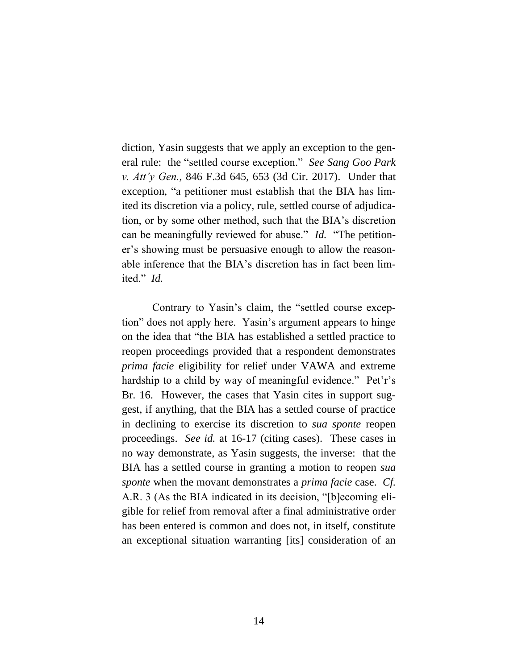diction, Yasin suggests that we apply an exception to the general rule: the "settled course exception." *See Sang Goo Park v. Att'y Gen.*, 846 F.3d 645, 653 (3d Cir. 2017). Under that exception, "a petitioner must establish that the BIA has limited its discretion via a policy, rule, settled course of adjudication, or by some other method, such that the BIA's discretion can be meaningfully reviewed for abuse." *Id.* "The petitioner's showing must be persuasive enough to allow the reasonable inference that the BIA's discretion has in fact been limited." *Id.*

Contrary to Yasin's claim, the "settled course exception" does not apply here. Yasin's argument appears to hinge on the idea that "the BIA has established a settled practice to reopen proceedings provided that a respondent demonstrates *prima facie* eligibility for relief under VAWA and extreme hardship to a child by way of meaningful evidence." Pet'r's Br. 16. However, the cases that Yasin cites in support suggest, if anything, that the BIA has a settled course of practice in declining to exercise its discretion to *sua sponte* reopen proceedings. *See id.* at 16-17 (citing cases). These cases in no way demonstrate, as Yasin suggests, the inverse: that the BIA has a settled course in granting a motion to reopen *sua sponte* when the movant demonstrates a *prima facie* case. *Cf.*  A.R. 3 (As the BIA indicated in its decision, "[b]ecoming eligible for relief from removal after a final administrative order has been entered is common and does not, in itself, constitute an exceptional situation warranting [its] consideration of an